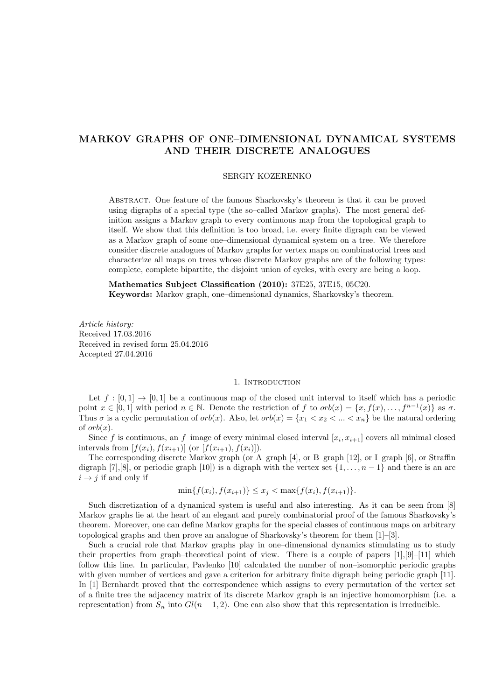# MARKOV GRAPHS OF ONE–DIMENSIONAL DYNAMICAL SYSTEMS AND THEIR DISCRETE ANALOGUES

### SERGIY KOZERENKO

Abstract. One feature of the famous Sharkovsky's theorem is that it can be proved using digraphs of a special type (the so–called Markov graphs). The most general definition assigns a Markov graph to every continuous map from the topological graph to itself. We show that this definition is too broad, i.e. every finite digraph can be viewed as a Markov graph of some one–dimensional dynamical system on a tree. We therefore consider discrete analogues of Markov graphs for vertex maps on combinatorial trees and characterize all maps on trees whose discrete Markov graphs are of the following types: complete, complete bipartite, the disjoint union of cycles, with every arc being a loop.

Mathematics Subject Classification (2010): 37E25, 37E15, 05C20. Keywords: Markov graph, one–dimensional dynamics, Sharkovsky's theorem.

Article history: Received 17.03.2016 Received in revised form 25.04.2016 Accepted 27.04.2016

# 1. INTRODUCTION

Let  $f : [0,1] \rightarrow [0,1]$  be a continuous map of the closed unit interval to itself which has a periodic point  $x \in [0,1]$  with period  $n \in \mathbb{N}$ . Denote the restriction of f to  $orb(x) = \{x, f(x), \ldots, f^{n-1}(x)\}$  as  $\sigma$ . Thus  $\sigma$  is a cyclic permutation of  $orb(x)$ . Also, let  $orb(x) = \{x_1 < x_2 < \ldots < x_n\}$  be the natural ordering of  $orb(x)$ .

Since f is continuous, an f-image of every minimal closed interval  $[x_i, x_{i+1}]$  covers all minimal closed intervals from  $[f(x_i), f(x_{i+1})]$  (or  $[f(x_{i+1}), f(x_i)]$ ).

The corresponding discrete Markov graph (or A–graph [4], or B–graph [12], or I–graph [6], or Straffin digraph [7],[8], or periodic graph [10]) is a digraph with the vertex set  $\{1, \ldots, n-1\}$  and there is an arc  $i \rightarrow j$  if and only if

$$
\min\{f(x_i), f(x_{i+1})\} \le x_j < \max\{f(x_i), f(x_{i+1})\}.
$$

Such discretization of a dynamical system is useful and also interesting. As it can be seen from [8] Markov graphs lie at the heart of an elegant and purely combinatorial proof of the famous Sharkovsky's theorem. Moreover, one can define Markov graphs for the special classes of continuous maps on arbitrary topological graphs and then prove an analogue of Sharkovsky's theorem for them [1]–[3].

Such a crucial role that Markov graphs play in one–dimensional dynamics stimulating us to study their properties from graph–theoretical point of view. There is a couple of papers  $[1],[9]-[11]$  which follow this line. In particular, Pavlenko [10] calculated the number of non–isomorphic periodic graphs with given number of vertices and gave a criterion for arbitrary finite digraph being periodic graph [11]. In [1] Bernhardt proved that the correspondence which assigns to every permutation of the vertex set of a finite tree the adjacency matrix of its discrete Markov graph is an injective homomorphism (i.e. a representation) from  $S_n$  into  $Gl(n-1, 2)$ . One can also show that this representation is irreducible.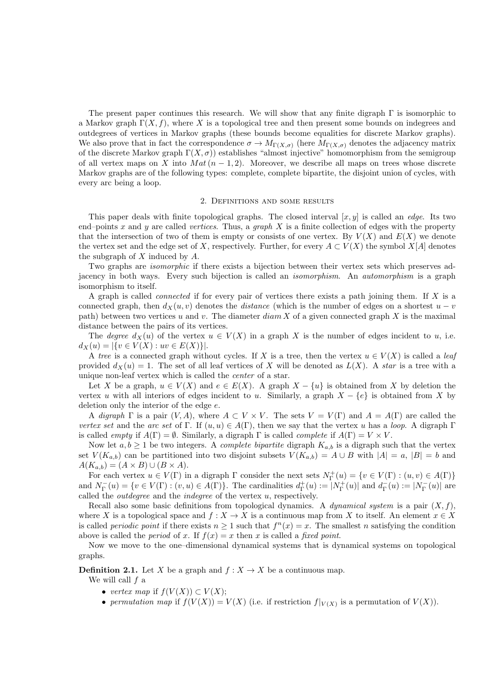The present paper continues this research. We will show that any finite digraph  $\Gamma$  is isomorphic to a Markov graph  $\Gamma(X, f)$ , where X is a topological tree and then present some bounds on indegrees and outdegrees of vertices in Markov graphs (these bounds become equalities for discrete Markov graphs). We also prove that in fact the correspondence  $\sigma \to M_{\Gamma(X,\sigma)}$  (here  $M_{\Gamma(X,\sigma)}$  denotes the adjacency matrix of the discrete Markov graph  $\Gamma(X, \sigma)$ ) establishes "almost injective" homomorphism from the semigroup of all vertex maps on X into  $Mat(n-1, 2)$ . Moreover, we describe all maps on trees whose discrete Markov graphs are of the following types: complete, complete bipartite, the disjoint union of cycles, with every arc being a loop.

# 2. Definitions and some results

This paper deals with finite topological graphs. The closed interval  $[x, y]$  is called an *edge*. Its two end–points x and y are called vertices. Thus, a graph X is a finite collection of edges with the property that the intersection of two of them is empty or consists of one vertex. By  $V(X)$  and  $E(X)$  we denote the vertex set and the edge set of X, respectively. Further, for every  $A \subset V(X)$  the symbol X[A] denotes the subgraph of  $X$  induced by  $A$ .

Two graphs are isomorphic if there exists a bijection between their vertex sets which preserves adjacency in both ways. Every such bijection is called an isomorphism. An automorphism is a graph isomorphism to itself.

A graph is called *connected* if for every pair of vertices there exists a path joining them. If  $X$  is a connected graph, then  $d_X(u, v)$  denotes the *distance* (which is the number of edges on a shortest  $u - v$ path) between two vertices u and v. The diameter  $diam X$  of a given connected graph X is the maximal distance between the pairs of its vertices.

The degree  $d_X(u)$  of the vertex  $u \in V(X)$  in a graph X is the number of edges incident to u, i.e.  $d_X(u) = |\{v \in V(X) : uv \in E(X)\}|.$ 

A tree is a connected graph without cycles. If X is a tree, then the vertex  $u \in V(X)$  is called a *leaf* provided  $d_X(u) = 1$ . The set of all leaf vertices of X will be denoted as  $L(X)$ . A star is a tree with a unique non-leaf vertex which is called the center of a star.

Let X be a graph,  $u \in V(X)$  and  $e \in E(X)$ . A graph  $X - \{u\}$  is obtained from X by deletion the vertex u with all interiors of edges incident to u. Similarly, a graph  $X - \{e\}$  is obtained from X by deletion only the interior of the edge e.

A digraph  $\Gamma$  is a pair  $(V, A)$ , where  $A \subset V \times V$ . The sets  $V = V(\Gamma)$  and  $A = A(\Gamma)$  are called the vertex set and the arc set of Γ. If  $(u, u) \in A(\Gamma)$ , then we say that the vertex u has a loop. A digraph Γ is called *empty* if  $A(\Gamma) = \emptyset$ . Similarly, a digraph  $\Gamma$  is called *complete* if  $A(\Gamma) = V \times V$ .

Now let  $a, b \ge 1$  be two integers. A *complete bipartite* digraph  $K_{a,b}$  is a digraph such that the vertex set  $V(K_{a,b})$  can be partitioned into two disjoint subsets  $V(K_{a,b}) = A \cup B$  with  $|A| = a, |B| = b$  and  $A(K_{a,b}) = (A \times B) \cup (B \times A).$ 

For each vertex  $u \in V(\Gamma)$  in a digraph  $\Gamma$  consider the next sets  $N_{\Gamma}^+(u) = \{v \in V(\Gamma) : (u, v) \in A(\Gamma) \}$ and  $N_{\Gamma}^-(u) = \{v \in V(\Gamma) : (v, u) \in A(\Gamma)\}\.$  The cardinalities  $d_{\Gamma}^+(u) := |N_{\Gamma}^+(u)|$  and  $d_{\Gamma}^-(u) := |N_{\Gamma}^-(u)|$  are called the *outdegree* and the *indegree* of the vertex  $u$ , respectively.

Recall also some basic definitions from topological dynamics. A *dynamical system* is a pair  $(X, f)$ , where X is a topological space and  $f: X \to X$  is a continuous map from X to itself. An element  $x \in X$ is called *periodic point* if there exists  $n \geq 1$  such that  $f^{n}(x) = x$ . The smallest *n* satisfying the condition above is called the *period* of x. If  $f(x) = x$  then x is called a *fixed point*.

Now we move to the one–dimensional dynamical systems that is dynamical systems on topological graphs.

**Definition 2.1.** Let X be a graph and  $f : X \to X$  be a continuous map.

We will call  $f$  a

- vertex map if  $f(V(X)) \subset V(X)$ ;
- permutation map if  $f(V(X)) = V(X)$  (i.e. if restriction  $f|_{V(X)}$  is a permutation of  $V(X)$ ).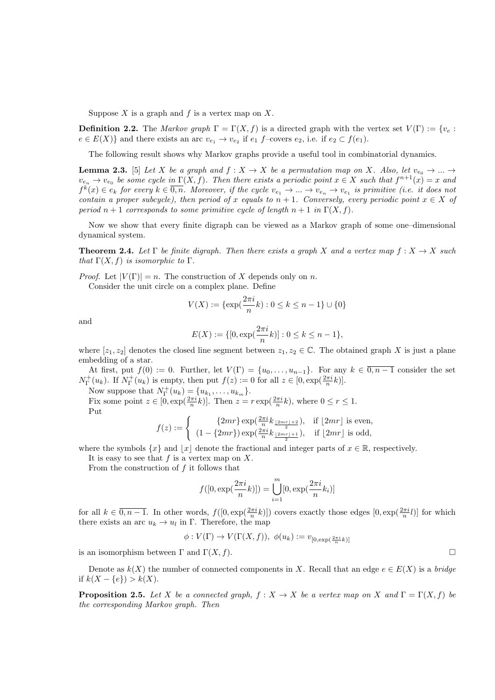Suppose  $X$  is a graph and  $f$  is a vertex map on  $X$ .

**Definition 2.2.** The Markov graph  $\Gamma = \Gamma(X, f)$  is a directed graph with the vertex set  $V(\Gamma) := \{v_e :$  $e \in E(X)$ } and there exists an arc  $v_{e_1} \to v_{e_2}$  if  $e_1$  f-covers  $e_2$ , i.e. if  $e_2 \subset f(e_1)$ .

The following result shows why Markov graphs provide a useful tool in combinatorial dynamics.

**Lemma 2.3.** [5] Let X be a graph and  $f: X \to X$  be a permutation map on X. Also, let  $v_{e_0} \to ... \to$  $v_{e_n} \to v_{e_0}$  be some cycle in  $\Gamma(X, f)$ . Then there exists a periodic point  $x \in X$  such that  $f^{n+1}(x) = x$  and  $f^k(x) \in e_k$  for every  $k \in \overline{0,n}$ . Moreover, if the cycle  $v_{e_1} \to \dots \to v_{e_n} \to v_{e_1}$  is primitive (i.e. it does not contain a proper subcycle), then period of x equals to  $n + 1$ . Conversely, every periodic point  $x \in X$  of period  $n + 1$  corresponds to some primitive cycle of length  $n + 1$  in  $\Gamma(X, f)$ .

Now we show that every finite digraph can be viewed as a Markov graph of some one–dimensional dynamical system.

**Theorem 2.4.** Let  $\Gamma$  be finite digraph. Then there exists a graph X and a vertex map  $f: X \to X$  such that  $\Gamma(X, f)$  is isomorphic to  $\Gamma$ .

*Proof.* Let  $|V(\Gamma)| = n$ . The construction of X depends only on n.

Consider the unit circle on a complex plane. Define

$$
V(X) := \{ \exp(\frac{2\pi i}{n}k) : 0 \le k \le n - 1 \} \cup \{ 0 \}
$$

and

$$
E(X) := \{ [0, \exp(\frac{2\pi i}{n}k)] : 0 \le k \le n - 1 \},\
$$

where  $[z_1, z_2]$  denotes the closed line segment between  $z_1, z_2 \in \mathbb{C}$ . The obtained graph X is just a plane embedding of a star.

At first, put  $f(0) := 0$ . Further, let  $V(\Gamma) = \{u_0, \ldots, u_{n-1}\}$ . For any  $k \in \overline{0, n-1}$  consider the set  $N_{\Gamma}^+(u_k)$ . If  $N_{\Gamma}^+(u_k)$  is empty, then put  $f(z) := 0$  for all  $z \in [0, \exp(\frac{2\pi i}{n}k)].$ 

Now suppose that  $N_{\Gamma}^+(u_k) = \{u_{k_1}, \ldots, u_{k_m}\}.$ 

Fix some point  $z \in [0, \exp(\frac{2\pi i}{n}k)]$ . Then  $z = r \exp(\frac{2\pi i}{n}k)$ , where  $0 \le r \le 1$ . Put

$$
f(z) := \begin{cases} \n\frac{\{2mr\} \exp\left(\frac{2\pi i}{n} k_{\frac{[2mr]+2}}\right), & \text{if } \lfloor 2mr \rfloor \text{ is even,} \\
(1 - \{2mr\}) \exp\left(\frac{2\pi i}{n} k_{\frac{[2mr]+1}}\right), & \text{if } \lfloor 2mr \rfloor \text{ is odd,}\n\end{cases}
$$

where the symbols  $\{x\}$  and  $\vert x\vert$  denote the fractional and integer parts of  $x \in \mathbb{R}$ , respectively.

It is easy to see that  $f$  is a vertex map on  $X$ .

From the construction of  $f$  it follows that

$$
f([0, \exp(\frac{2\pi i}{n}k)]) = \bigcup_{i=1}^{m} [0, \exp(\frac{2\pi i}{n}k_i)]
$$

for all  $k \in \overline{0, n-1}$ . In other words,  $f([0, \exp(\frac{2\pi i}{n}k)])$  covers exactly those edges  $[0, \exp(\frac{2\pi i}{n}l)]$  for which there exists an arc  $u_k \to u_l$  in  $\Gamma$ . Therefore, the map

$$
\phi: V(\Gamma) \to V(\Gamma(X, f)), \ \phi(u_k) := v_{[0, \exp(\frac{2\pi i}{n}k)]}
$$

is an isomorphism between  $\Gamma$  and  $\Gamma(X, f)$ .

Denote as  $k(X)$  the number of connected components in X. Recall that an edge  $e \in E(X)$  is a bridge if  $k(X - \{e\}) > k(X)$ .

**Proposition 2.5.** Let X be a connected graph,  $f : X \to X$  be a vertex map on X and  $\Gamma = \Gamma(X, f)$  be the corresponding Markov graph. Then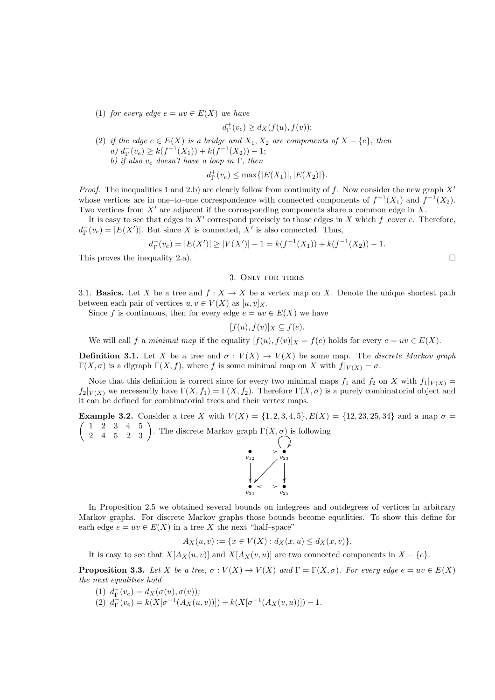(1) for every edge  $e = uv \in E(X)$  we have

$$
d_{\Gamma}^+(v_e) \ge d_X(f(u), f(v));
$$

(2) if the edge  $e \in E(X)$  is a bridge and  $X_1, X_2$  are components of  $X - \{e\}$ , then a)  $d_{\Gamma}^-(v_e) \geq k(f^{-1}(X_1)) + k(f^{-1}(X_2)) - 1;$ b) if also  $v_e$  doesn't have a loop in Γ, then

$$
d_{\Gamma}^{+}(v_e) \le \max\{|E(X_1)|, |E(X_2)|\}.
$$

*Proof.* The inequalities 1 and 2.b) are clearly follow from continuity of f. Now consider the new graph  $X'$ whose vertices are in one–to–one correspondence with connected components of  $f^{-1}(X_1)$  and f  $^{-1}(X_2)$ . Two vertices from  $X'$  are adjacent if the corresponding components share a common edge in X.

It is easy to see that edges in  $X'$  correspond precisely to those edges in X which f–cover e. Therefore,  $d_{\Gamma}^{-}(v_e) = |E(X')|$ . But since X is connected, X' is also connected. Thus,

$$
d_{\Gamma}^-(v_e) = |E(X')| \ge |V(X')| - 1 = k(f^{-1}(X_1)) + k(f^{-1}(X_2)) - 1.
$$

This proves the inequality 2.a).  $\Box$ 

### 3. Only for trees

3.1. **Basics.** Let X be a tree and  $f : X \to X$  be a vertex map on X. Denote the unique shortest path between each pair of vertices  $u, v \in V(X)$  as  $[u, v]_X$ .

Since f is continuous, then for every edge  $e = uv \in E(X)$  we have

$$
[f(u), f(v)]_X \subseteq f(e).
$$

We will call f a minimal map if the equality  $[f(u), f(v)]_X = f(e)$  holds for every  $e = uv \in E(X)$ .

**Definition 3.1.** Let X be a tree and  $\sigma: V(X) \to V(X)$  be some map. The discrete Markov graph Γ(X, σ) is a digraph  $\Gamma(X, f)$ , where f is some minimal map on X with  $f|_{V(X)} = \sigma$ .

Note that this definition is correct since for every two minimal maps  $f_1$  and  $f_2$  on X with  $f_1|_{V(X)} =$  $f_2|_{V(X)}$  we necessarily have  $\Gamma(X, f_1) = \Gamma(X, f_2)$ . Therefore  $\Gamma(X, \sigma)$  is a purely combinatorial object and it can be defined for combinatorial trees and their vertex maps.

**Example 3.2.** Consider a tree X with  $V(X) = \{1, 2, 3, 4, 5\}$ ,  $E(X) = \{12, 23, 25, 34\}$  and a map  $\sigma =$  $\left(\begin{array}{cccc} 1 & 2 & 3 & 4 & 5 \\ 2 & 4 & 5 & 2 & 3 \end{array}\right)$ . The discrete Markov graph  $\Gamma(X, \sigma)$  is following



In Proposition 2.5 we obtained several bounds on indegrees and outdegrees of vertices in arbitrary Markov graphs. For discrete Markov graphs those bounds become equalities. To show this define for each edge  $e = uv \in E(X)$  in a tree X the next "half-space"

$$
A_X(u, v) := \{ x \in V(X) : d_X(x, u) \le d_X(x, v) \}.
$$

It is easy to see that  $X[A_X(u, v)]$  and  $X[A_X(v, u)]$  are two connected components in  $X - \{e\}.$ 

**Proposition 3.3.** Let X be a tree,  $\sigma: V(X) \to V(X)$  and  $\Gamma = \Gamma(X, \sigma)$ . For every edge  $e = uv \in E(X)$ the next equalities hold

- (1)  $d_{\Gamma}^+(v_e) = d_X(\sigma(u), \sigma(v));$
- (2)  $d_{\Gamma}^-(v_e) = k(X[\sigma^{-1}(A_X(u,v))]) + k(X[\sigma^{-1}(A_X(v,u))]) 1.$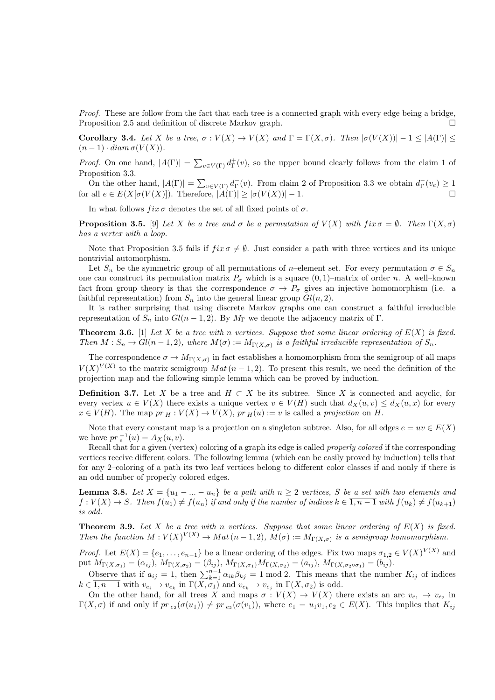Proof. These are follow from the fact that each tree is a connected graph with every edge being a bridge, Proposition 2.5 and definition of discrete Markov graph.

Corollary 3.4. Let X be a tree,  $\sigma: V(X) \to V(X)$  and  $\Gamma = \Gamma(X, \sigma)$ . Then  $|\sigma(V(X))| - 1 \leq |A(\Gamma)| \leq$  $(n-1) \cdot diam \sigma(V(X)).$ 

*Proof.* On one hand,  $|A(\Gamma)| = \sum_{v \in V(\Gamma)} d_{\Gamma}^+(v)$ , so the upper bound clearly follows from the claim 1 of Proposition 3.3.

On the other hand,  $|A(\Gamma)| = \sum_{v \in V(\Gamma)} d_{\Gamma}(v)$ . From claim 2 of Proposition 3.3 we obtain  $d_{\Gamma}(v_e) \ge 1$ for all  $e \in E(X[\sigma(V(X)])$ . Therefore,  $|A(\Gamma)| \geq |\sigma(V(X))| - 1$ .

In what follows  $fix \sigma$  denotes the set of all fixed points of  $\sigma$ .

**Proposition 3.5.** [9] Let X be a tree and  $\sigma$  be a permutation of  $V(X)$  with fix  $\sigma = \emptyset$ . Then  $\Gamma(X, \sigma)$ has a vertex with a loop.

Note that Proposition 3.5 fails if  $fix \sigma \neq \emptyset$ . Just consider a path with three vertices and its unique nontrivial automorphism.

Let  $S_n$  be the symmetric group of all permutations of n–element set. For every permutation  $\sigma \in S_n$ one can construct its permutation matrix  $P_{\sigma}$  which is a square  $(0, 1)$ –matrix of order n. A well–known fact from group theory is that the correspondence  $\sigma \to P_{\sigma}$  gives an injective homomorphism (i.e. a faithful representation) from  $S_n$  into the general linear group  $Gl(n, 2)$ .

It is rather surprising that using discrete Markov graphs one can construct a faithful irreducible representation of  $S_n$  into  $Gl(n-1, 2)$ . By  $M_{\Gamma}$  we denote the adjacency matrix of  $\Gamma$ .

**Theorem 3.6.** [1] Let X be a tree with n vertices. Suppose that some linear ordering of  $E(X)$  is fixed. Then  $M: S_n \to Gl(n-1,2)$ , where  $M(\sigma) := M_{\Gamma(X,\sigma)}$  is a faithful irreducible representation of  $S_n$ .

The correspondence  $\sigma \to M_{\Gamma(X,\sigma)}$  in fact establishes a homomorphism from the semigroup of all maps  $V(X)^{V(X)}$  to the matrix semigroup  $Mat(n-1,2)$ . To present this result, we need the definition of the projection map and the following simple lemma which can be proved by induction.

**Definition 3.7.** Let X be a tree and  $H \subset X$  be its subtree. Since X is connected and acyclic, for every vertex  $u \in V(X)$  there exists a unique vertex  $v \in V(H)$  such that  $d_X(u, v) \leq d_X(u, x)$  for every  $x \in V(H)$ . The map  $pr_H : V(X) \to V(X)$ ,  $pr_H(u) := v$  is called a projection on H.

Note that every constant map is a projection on a singleton subtree. Also, for all edges  $e = uv \in E(X)$ we have  $pr_e^{-1}(u) = A_X(u, v)$ .

Recall that for a given (vertex) coloring of a graph its edge is called properly colored if the corresponding vertices receive different colors. The following lemma (which can be easily proved by induction) tells that for any 2–coloring of a path its two leaf vertices belong to different color classes if and nonly if there is an odd number of properly colored edges.

**Lemma 3.8.** Let  $X = \{u_1 - ... - u_n\}$  be a path with  $n \geq 2$  vertices, S be a set with two elements and  $f: V(X) \to S$ . Then  $f(u_1) \neq f(u_n)$  if and only if the number of indices  $k \in \overline{1, n-1}$  with  $f(u_k) \neq f(u_{k+1})$ is odd.

**Theorem 3.9.** Let X be a tree with n vertices. Suppose that some linear ordering of  $E(X)$  is fixed. Then the function  $M: V(X)^{V(X)} \to Mat\,(n-1,2), M(\sigma) := M_{\Gamma(X,\sigma)}$  is a semigroup homomorphism.

*Proof.* Let  $E(X) = \{e_1, \ldots, e_{n-1}\}\$ be a linear ordering of the edges. Fix two maps  $\sigma_{1,2} \in V(X)^{V(X)}$  and put  $M_{\Gamma(X,\sigma_1)} = (\alpha_{ij}), M_{\Gamma(X,\sigma_2)} = (\beta_{ij}), M_{\Gamma(X,\sigma_1)}M_{\Gamma(X,\sigma_2)} = (a_{ij}), M_{\Gamma(X,\sigma_2 \circ \sigma_1)} = (b_{ij}).$ 

Observe that if  $a_{ij} = 1$ , then  $\sum_{k=1}^{n-1} \alpha_{ik} \beta_{kj} = 1 \mod 2$ . This means that the number  $K_{ij}$  of indices  $k \in \overline{1, n-1}$  with  $v_{e_i} \to v_{e_k}$  in  $\Gamma(X, \sigma_1)$  and  $v_{e_k} \to v_{e_j}$  in  $\Gamma(X, \sigma_2)$  is odd.

On the other hand, for all trees X and maps  $\sigma: V(X) \to V(X)$  there exists an arc  $v_{e_1} \to v_{e_2}$  in  $\Gamma(X,\sigma)$  if and only if  $pr_{e_2}(\sigma(u_1)) \neq pr_{e_2}(\sigma(v_1))$ , where  $e_1 = u_1v_1, e_2 \in E(X)$ . This implies that  $K_{ij}$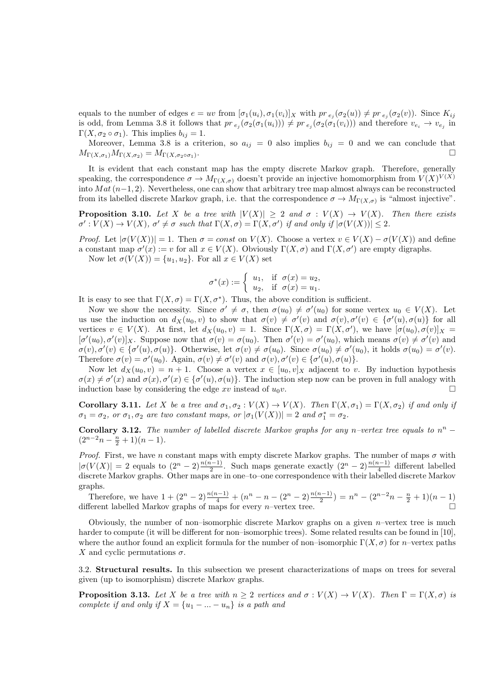equals to the number of edges  $e = uv$  from  $[\sigma_1(u_i), \sigma_1(v_i)]_X$  with  $pr_{e_j}(\sigma_2(u)) \neq pr_{e_j}(\sigma_2(v))$ . Since  $K_{ij}$ is odd, from Lemma 3.8 it follows that  $pr_{e_j}(\sigma_2(\sigma_1(u_i))) \neq pr_{e_j}(\sigma_2(\sigma_1(v_i)))$  and therefore  $v_{e_i} \to v_{e_j}$  in Γ(X,  $\sigma_2 \circ \sigma_1$ ). This implies  $b_{ij} = 1$ .

Moreover, Lemma 3.8 is a criterion, so  $a_{ij} = 0$  also implies  $b_{ij} = 0$  and we can conclude that  $M_{\Gamma(X,\sigma_1)}M_{\Gamma(X,\sigma_2)}=M_{\Gamma(X,\sigma_2\circ\sigma_1)}$ . . В последните последните последните последните последните последните последните последните последните последн<br>В последните последните последните последните последните последните последните последните последните последнит

It is evident that each constant map has the empty discrete Markov graph. Therefore, generally speaking, the correspondence  $\sigma \to M_{\Gamma(X,\sigma)}$  doesn't provide an injective homomorphism from  $V(X)^{V(X)}$ into  $Mat(n-1, 2)$ . Nevertheless, one can show that arbitrary tree map almost always can be reconstructed from its labelled discrete Markov graph, i.e. that the correspondence  $\sigma \to M_{\Gamma(X,\sigma)}$  is "almost injective".

**Proposition 3.10.** Let X be a tree with  $|V(X)| \geq 2$  and  $\sigma : V(X) \to V(X)$ . Then there exists  $\sigma' : V(X) \to V(X), \sigma' \neq \sigma$  such that  $\Gamma(X, \sigma) = \Gamma(X, \sigma')$  if and only if  $|\sigma(V(X))| \leq 2$ .

*Proof.* Let  $|\sigma(V(X))| = 1$ . Then  $\sigma = const$  on  $V(X)$ . Choose a vertex  $v \in V(X) - \sigma(V(X))$  and define a constant map  $\sigma'(x) := v$  for all  $x \in V(X)$ . Obviously  $\Gamma(X, \sigma)$  and  $\Gamma(X, \sigma')$  are empty digraphs.

Now let  $\sigma(V(X)) = \{u_1, u_2\}$ . For all  $x \in V(X)$  set

$$
\sigma^*(x) := \begin{cases} u_1, & \text{if } \sigma(x) = u_2, \\ u_2, & \text{if } \sigma(x) = u_1. \end{cases}
$$

It is easy to see that  $\Gamma(X, \sigma) = \Gamma(X, \sigma^*)$ . Thus, the above condition is sufficient.

Now we show the necessity. Since  $\sigma' \neq \sigma$ , then  $\sigma(u_0) \neq \sigma'(u_0)$  for some vertex  $u_0 \in V(X)$ . Let us use the induction on  $d_X(u_0, v)$  to show that  $\sigma(v) \neq \sigma'(v)$  and  $\sigma(v), \sigma'(v) \in {\sigma'(u), \sigma(u)}$  for all vertices  $v \in V(X)$ . At first, let  $d_X(u_0, v) = 1$ . Since  $\Gamma(X, \sigma) = \Gamma(X, \sigma')$ , we have  $[\sigma(u_0), \sigma(v)]_X =$  $[\sigma'(u_0), \sigma'(v)]_X$ . Suppose now that  $\sigma(v) = \sigma(u_0)$ . Then  $\sigma'(v) = \sigma'(u_0)$ , which means  $\sigma(v) \neq \sigma'(v)$  and  $\sigma(v), \sigma'(v) \in {\sigma'(u), \sigma(u)}$ . Otherwise, let  $\sigma(v) \neq \sigma(u_0)$ . Since  $\sigma(u_0) \neq \sigma'(u_0)$ , it holds  $\sigma(u_0) = \sigma'(v)$ . Therefore  $\sigma(v) = \sigma'(u_0)$ . Again,  $\sigma(v) \neq \sigma'(v)$  and  $\sigma(v), \sigma'(v) \in {\sigma'(u), \sigma(u)}$ .

Now let  $d_X(u_0, v) = n + 1$ . Choose a vertex  $x \in [u_0, v]_X$  adjacent to v. By induction hypothesis  $\sigma(x) \neq \sigma'(x)$  and  $\sigma(x)$ ,  $\sigma'(x) \in {\sigma'(u), \sigma(u)}$ . The induction step now can be proven in full analogy with induction base by considering the edge xv instead of  $u_0v$ .

**Corollary 3.11.** Let X be a tree and  $\sigma_1, \sigma_2 : V(X) \to V(X)$ . Then  $\Gamma(X, \sigma_1) = \Gamma(X, \sigma_2)$  if and only if  $\sigma_1 = \sigma_2$ , or  $\sigma_1, \sigma_2$  are two constant maps, or  $|\sigma_1(V(X))| = 2$  and  $\sigma_1^* = \sigma_2$ .

Corollary 3.12. The number of labelled discrete Markov graphs for any n-vertex tree equals to  $n^n$  –  $(2^{n-2}n - \frac{n}{2} + 1)(n-1).$ 

*Proof.* First, we have n constant maps with empty discrete Markov graphs. The number of maps  $\sigma$  with  $|\sigma(V(X)| = 2$  equals to  $(2^n - 2) \frac{n(n-1)}{2}$ . Such maps generate exactly  $(2^n - 2) \frac{n(n-1)}{4}$  different labelled discrete Markov graphs. Other maps are in one–to–one correspondence with their labelled discrete Markov graphs.

Therefore, we have  $1 + (2^n - 2)\frac{n(n-1)}{4} + (n^n - n - (2^n - 2)\frac{n(n-1)}{2}) = n^n - (2^{n-2}n - \frac{n}{2} + 1)(n-1)$ different labelled Markov graphs of maps for every *n*–vertex tree.

Obviously, the number of non-isomorphic discrete Markov graphs on a given  $n$ -vertex tree is much harder to compute (it will be different for non–isomorphic trees). Some related results can be found in [10], where the author found an explicit formula for the number of non–isomorphic  $\Gamma(X, \sigma)$  for *n*–vertex paths X and cyclic permutations  $\sigma$ .

3.2. Structural results. In this subsection we present characterizations of maps on trees for several given (up to isomorphism) discrete Markov graphs.

**Proposition 3.13.** Let X be a tree with  $n \geq 2$  vertices and  $\sigma : V(X) \to V(X)$ . Then  $\Gamma = \Gamma(X, \sigma)$  is complete if and only if  $X = \{u_1 - \ldots - u_n\}$  is a path and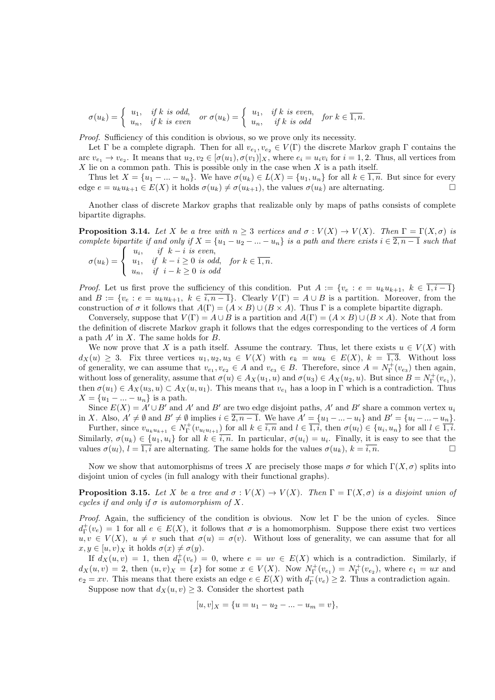$\sigma(u_k) = \begin{cases} u_1, & if \ k \ is \ odd, \ u_n, & if \ k \ is \ even \end{cases} \quad or \ \sigma(u_k) = \begin{cases} u_1, & if \ k \ is \ even, \ u_n, & if \ k \ is \ odd \end{cases} \quad for \ k \in \overline{1,n}.$ 

Proof. Sufficiency of this condition is obvious, so we prove only its necessity.

Let  $\Gamma$  be a complete digraph. Then for all  $v_{e_1}, v_{e_2} \in V(\Gamma)$  the discrete Markov graph  $\Gamma$  contains the arc  $v_{e_1} \to v_{e_2}$ . It means that  $u_2, v_2 \in [\sigma(u_1), \sigma(v_1)]_X$ , where  $e_i = u_i v_i$  for  $i = 1, 2$ . Thus, all vertices from  $X$  lie on a common path. This is possible only in the case when  $X$  is a path itself.

Thus let  $X = \{u_1 - \ldots - u_n\}$ . We have  $\sigma(u_k) \in L(X) = \{u_1, u_n\}$  for all  $k \in \overline{1,n}$ . But since for every edge  $e = u_k u_{k+1} \in E(X)$  it holds  $\sigma(u_k) \neq \sigma(u_{k+1})$ , the values  $\sigma(u_k)$  are alternating.

Another class of discrete Markov graphs that realizable only by maps of paths consists of complete bipartite digraphs.

**Proposition 3.14.** Let X be a tree with  $n \geq 3$  vertices and  $\sigma : V(X) \to V(X)$ . Then  $\Gamma = \Gamma(X, \sigma)$  is complete bipartite if and only if  $X = \{u_1 - u_2 - ... - u_n\}$  is a path and there exists  $i \in \overline{2, n-1}$  such that

$$
\sigma(u_k) = \begin{cases} u_i, & \text{if } k - i \text{ is even,} \\ u_1, & \text{if } k - i \ge 0 \text{ is odd,} \\ u_n, & \text{if } i - k \ge 0 \text{ is odd} \end{cases} \quad \text{for } k \in \overline{1, n}.
$$

*Proof.* Let us first prove the sufficiency of this condition. Put  $A := \{v_e : e = u_k u_{k+1}, k \in \overline{1,i-1}\}\$ and  $B := \{v_e : e = u_k u_{k+1}, k \in \overline{i, n-1}\}.$  Clearly  $V(\Gamma) = A \cup B$  is a partition. Moreover, from the construction of  $\sigma$  it follows that  $A(\Gamma) = (A \times B) \cup (B \times A)$ . Thus  $\Gamma$  is a complete bipartite digraph.

Conversely, suppose that  $V(\Gamma) = A \cup B$  is a partition and  $A(\Gamma) = (A \times B) \cup (B \times A)$ . Note that from the definition of discrete Markov graph it follows that the edges corresponding to the vertices of A form a path  $A'$  in  $X$ . The same holds for  $B$ .

We now prove that X is a path itself. Assume the contrary. Thus, let there exists  $u \in V(X)$  with  $d_X(u) \geq 3$ . Fix three vertices  $u_1, u_2, u_3 \in V(X)$  with  $e_k = uu_k \in E(X)$ ,  $k = \overline{1,3}$ . Without loss of generality, we can assume that  $v_{e_1}, v_{e_2} \in A$  and  $v_{e_3} \in B$ . Therefore, since  $A = N_{\Gamma}^+(v_{e_3})$  then again, without loss of generality, assume that  $\sigma(u) \in A_X(u_1, u)$  and  $\sigma(u_3) \in A_X(u_2, u)$ . But since  $B = N_{\Gamma}^+(v_{e_1}),$ then  $\sigma(u_1) \in A_X(u_3, u) \subset A_X(u, u_1)$ . This means that  $v_{e_1}$  has a loop in Γ which is a contradiction. Thus  $X = \{u_1 - ... - u_n\}$  is a path.

Since  $E(X) = A' \cup B'$  and A' and B' are two edge disjoint paths, A' and B' share a common vertex  $u_i$ in X. Also,  $A' \neq \emptyset$  and  $B' \neq \emptyset$  implies  $i \in \overline{2, n-1}$ . We have  $A' = \{u_1 - ... - u_i\}$  and  $B' = \{u_i - ... - u_n\}$ .

Further, since  $v_{u_k u_{k+1}} \in N^+_{\Gamma}(v_{u_l u_{l+1}})$  for all  $k \in \overline{i,n}$  and  $l \in \overline{1,i}$ , then  $\sigma(u_l) \in \{u_i, u_n\}$  for all  $l \in \overline{1,i}$ . Similarly,  $\sigma(u_k) \in \{u_1, u_i\}$  for all  $k \in \overline{i, n}$ . In particular,  $\sigma(u_i) = u_i$ . Finally, it is easy to see that the values  $\sigma(u_l)$ ,  $l = \overline{1,i}$  are alternating. The same holds for the values  $\sigma(u_k)$ ,  $k = i, n$ .

Now we show that automorphisms of trees X are precisely those maps  $\sigma$  for which  $\Gamma(X,\sigma)$  splits into disjoint union of cycles (in full analogy with their functional graphs).

**Proposition 3.15.** Let X be a tree and  $\sigma : V(X) \to V(X)$ . Then  $\Gamma = \Gamma(X, \sigma)$  is a disjoint union of cycles if and only if  $\sigma$  is automorphism of X.

*Proof.* Again, the sufficiency of the condition is obvious. Now let  $\Gamma$  be the union of cycles. Since  $d_{\Gamma}^+(v_e) = 1$  for all  $e \in E(X)$ , it follows that  $\sigma$  is a homomorphism. Suppose there exist two vertices  $u, v \in V(X)$ ,  $u \neq v$  such that  $\sigma(u) = \sigma(v)$ . Without loss of generality, we can assume that for all  $x, y \in [u, v)_X$  it holds  $\sigma(x) \neq \sigma(y)$ .

If  $d_X(u, v) = 1$ , then  $d^{\dagger}_\Gamma(v_e) = 0$ , where  $e = uv \in E(X)$  which is a contradiction. Similarly, if  $d_X(u, v) = 2$ , then  $(u, v)_X = \{x\}$  for some  $x \in V(X)$ . Now  $N_{\Gamma}^+(v_{e_1}) = N_{\Gamma}^+(v_{e_2})$ , where  $e_1 = ux$  and  $e_2 = xv$ . This means that there exists an edge  $e \in E(X)$  with  $d_{\Gamma}^-(v_e) \geq 2$ . Thus a contradiction again.

Suppose now that  $d_X(u, v) \geq 3$ . Consider the shortest path

$$
[u, v]_X = \{u = u_1 - u_2 - \dots - u_m = v\},\
$$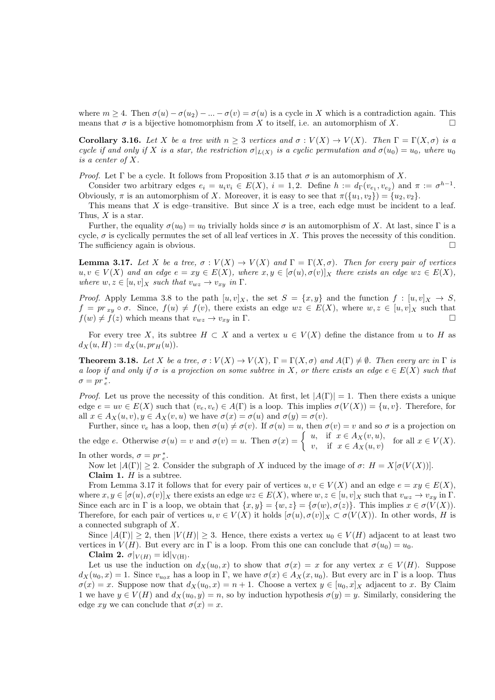where  $m \geq 4$ . Then  $\sigma(u) - \sigma(u_2) - \ldots - \sigma(v) = \sigma(u)$  is a cycle in X which is a contradiction again. This means that  $\sigma$  is a bijective homomorphism from X to itself, i.e. an automorphism of X.

**Corollary 3.16.** Let X be a tree with  $n \geq 3$  vertices and  $\sigma : V(X) \to V(X)$ . Then  $\Gamma = \Gamma(X, \sigma)$  is a cycle if and only if X is a star, the restriction  $\sigma|_{L(X)}$  is a cyclic permutation and  $\sigma(u_0) = u_0$ , where  $u_0$ is a center of X.

Proof. Let  $\Gamma$  be a cycle. It follows from Proposition 3.15 that  $\sigma$  is an automorphism of X.

Consider two arbitrary edges  $e_i = u_i v_i \in E(X)$ ,  $i = 1, 2$ . Define  $h := d_{\Gamma}(v_{e_1}, v_{e_2})$  and  $\pi := \sigma^{h-1}$ . Obviously,  $\pi$  is an automorphism of X. Moreover, it is easy to see that  $\pi({u_1, v_2}) = {u_2, v_2}$ .

This means that  $X$  is edge–transitive. But since  $X$  is a tree, each edge must be incident to a leaf. Thus,  $X$  is a star.

Further, the equality  $\sigma(u_0) = u_0$  trivially holds since  $\sigma$  is an automorphism of X. At last, since Γ is a cycle,  $\sigma$  is cyclically permutes the set of all leaf vertices in X. This proves the necessity of this condition. The sufficiency again is obvious.  $\Box$ 

**Lemma 3.17.** Let X be a tree,  $\sigma: V(X) \to V(X)$  and  $\Gamma = \Gamma(X, \sigma)$ . Then for every pair of vertices  $u, v \in V(X)$  and an edge  $e = xy \in E(X)$ , where  $x, y \in [\sigma(u), \sigma(v)]_X$  there exists an edge  $wz \in E(X)$ , where  $w, z \in [u, v]_X$  such that  $v_{wz} \to v_{xy}$  in  $\Gamma$ .

*Proof.* Apply Lemma 3.8 to the path  $[u, v]_X$ , the set  $S = \{x, y\}$  and the function  $f : [u, v]_X \to S$ ,  $f = pr_{xy} \circ \sigma$ . Since,  $f(u) \neq f(v)$ , there exists an edge  $wz \in E(X)$ , where  $w, z \in [u, v]_X$  such that  $f(w) \neq f(z)$  which means that  $v_{wz} \to v_{xy}$  in Γ.

For every tree X, its subtree  $H \subset X$  and a vertex  $u \in V(X)$  define the distance from u to H as  $d_X(u, H) := d_X(u, pr_H(u)).$ 

**Theorem 3.18.** Let X be a tree,  $\sigma: V(X) \to V(X)$ ,  $\Gamma = \Gamma(X, \sigma)$  and  $A(\Gamma) \neq \emptyset$ . Then every arc in  $\Gamma$  is a loop if and only if  $\sigma$  is a projection on some subtree in X, or there exists an edge  $e \in E(X)$  such that  $\sigma = pr_e^*$ .

*Proof.* Let us prove the necessity of this condition. At first, let  $|A(\Gamma)| = 1$ . Then there exists a unique edge  $e = uv \in E(X)$  such that  $(v_e, v_e) \in A(\Gamma)$  is a loop. This implies  $\sigma(V(X)) = \{u, v\}$ . Therefore, for all  $x \in A_X(u, v), y \in A_X(v, u)$  we have  $\sigma(x) = \sigma(u)$  and  $\sigma(y) = \sigma(v)$ .

Further, since  $v_e$  has a loop, then  $\sigma(u) \neq \sigma(v)$ . If  $\sigma(u) = u$ , then  $\sigma(v) = v$  and so  $\sigma$  is a projection on the edge e. Otherwise  $\sigma(u) = v$  and  $\sigma(v) = u$ . Then  $\sigma(x) = \begin{cases} u, & \text{if } x \in A_X(v, u), \\ u, & \text{if } x \in A_Y(v, u), \end{cases}$  $v,$  if  $x \in A_X(u, v)$  for all  $x \in V(X)$ . In other words,  $\sigma = pr_e^*$ .

Now let  $|A(\Gamma)| \geq 2$ . Consider the subgraph of X induced by the image of  $\sigma: H = X[\sigma(V(X))].$ **Claim 1.**  $H$  is a subtree.

From Lemma 3.17 it follows that for every pair of vertices  $u, v \in V(X)$  and an edge  $e = xy \in E(X)$ , where  $x, y \in [\sigma(u), \sigma(v)]_X$  there exists an edge  $wz \in E(X)$ , where  $w, z \in [u, v]_X$  such that  $v_{wz} \to v_{xy}$  in  $\Gamma$ . Since each arc in Γ is a loop, we obtain that  $\{x, y\} = \{w, z\} = \{\sigma(w), \sigma(z)\}\.$  This implies  $x \in \sigma(V(X)).$ Therefore, for each pair of vertices  $u, v \in V(X)$  it holds  $[\sigma(u), \sigma(v)]_X \subset \sigma(V(X))$ . In other words, H is a connected subgraph of X.

Since  $|A(\Gamma)| \geq 2$ , then  $|V(H)| \geq 3$ . Hence, there exists a vertex  $u_0 \in V(H)$  adjacent to at least two vertices in  $V(H)$ . But every arc in  $\Gamma$  is a loop. From this one can conclude that  $\sigma(u_0) = u_0$ .

Claim 2.  $\sigma|_{V(H)} = \mathrm{id}|_{V(H)}$ .

Let us use the induction on  $d_X(u_0, x)$  to show that  $\sigma(x) = x$  for any vertex  $x \in V(H)$ . Suppose  $d_X(u_0, x) = 1$ . Since  $v_{u_0x}$  has a loop in Γ, we have  $\sigma(x) \in A_X(x, u_0)$ . But every arc in Γ is a loop. Thus  $\sigma(x) = x$ . Suppose now that  $d_X(u_0, x) = n + 1$ . Choose a vertex  $y \in [u_0, x]_X$  adjacent to x. By Claim 1 we have  $y \in V(H)$  and  $d_X(u_0, y) = n$ , so by induction hypothesis  $\sigma(y) = y$ . Similarly, considering the edge xy we can conclude that  $\sigma(x) = x$ .